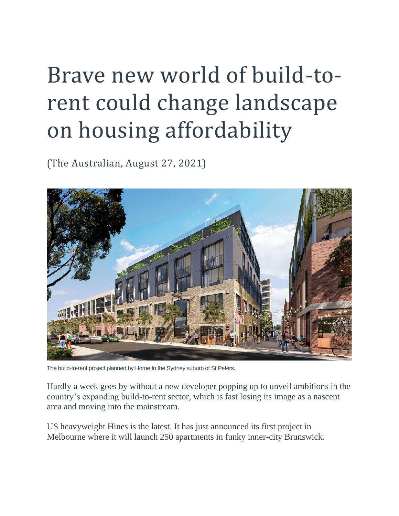## Brave new world of build-torent could change landscape on housing affordability

(The Australian, August 27, 2021)



The build-to-rent project planned by Home In the Sydney suburb of St Peters.

Hardly a week goes by without a new developer popping up to unveil ambitions in the country's expanding build-to-rent sector, which is fast losing its image as a nascent area and moving into the mainstream.

US heavyweight Hines is the latest. It has just announced its first project in Melbourne where it will launch 250 apartments in funky inner-city Brunswick.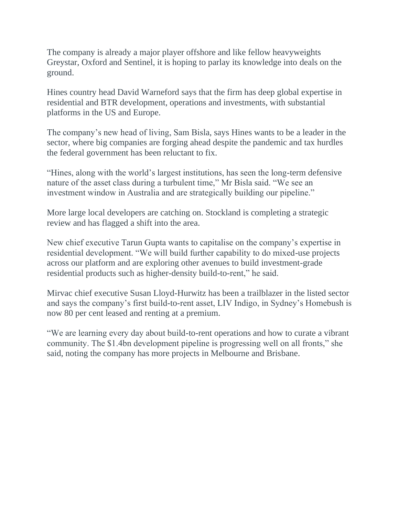The company is already a major player offshore and like fellow heavyweights Greystar, Oxford and Sentinel, it is hoping to parlay its knowledge into deals on the ground.

Hines country head David Warneford says that the firm has deep global expertise in residential and BTR development, operations and investments, with substantial platforms in the US and Europe.

The company's new head of living, Sam Bisla, says Hines wants to be a leader in the sector, where big companies are forging ahead despite the pandemic and tax hurdles the federal government has been reluctant to fix.

"Hines, along with the world's largest institutions, has seen the long-term defensive nature of the asset class during a turbulent time," Mr Bisla said. "We see an investment window in Australia and are strategically building our pipeline."

More large local developers are catching on. Stockland is completing a strategic review and has flagged a shift into the area.

New chief executive Tarun Gupta wants to capitalise on the company's expertise in residential development. "We will build further capability to do mixed-use projects across our platform and are exploring other avenues to build investment-grade residential products such as higher-density build-to-rent," he said.

Mirvac chief executive Susan Lloyd-Hurwitz has been a trailblazer in the listed sector and says the company's first build-to-rent asset, LIV Indigo, in Sydney's Homebush is now 80 per cent leased and renting at a premium.

"We are learning every day about build-to-rent operations and how to curate a vibrant community. The \$1.4bn development pipeline is progressing well on all fronts," she said, noting the company has more projects in Melbourne and Brisbane.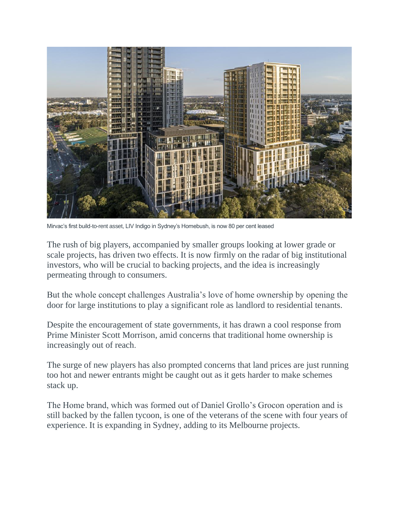

Mirvac's first build-to-rent asset, LIV Indigo in Sydney's Homebush, is now 80 per cent leased

The rush of big players, accompanied by smaller groups looking at lower grade or scale projects, has driven two effects. It is now firmly on the radar of big institutional investors, who will be crucial to backing projects, and the idea is increasingly permeating through to consumers.

But the whole concept challenges Australia's love of home ownership by opening the door for large institutions to play a significant role as landlord to residential tenants.

Despite the encouragement of state governments, it has drawn a cool response from Prime Minister Scott Morrison, amid concerns that traditional home ownership is increasingly out of reach.

The surge of new players has also prompted concerns that land prices are just running too hot and newer entrants might be caught out as it gets harder to make schemes stack up.

The Home brand, which was formed out of Daniel Grollo's Grocon operation and is still backed by the fallen tycoon, is one of the veterans of the scene with four years of experience. It is expanding in Sydney, adding to its Melbourne projects.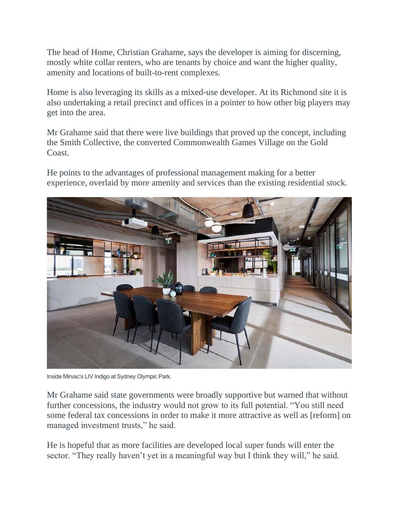The head of Home, Christian Grahame, says the developer is aiming for discerning, mostly white collar renters, who are tenants by choice and want the higher quality, amenity and locations of built-to-rent complexes.

Home is also leveraging its skills as a mixed-use developer. At its Richmond site it is also undertaking a retail precinct and offices in a pointer to how other big players may get into the area.

Mr Grahame said that there were live buildings that proved up the concept, including the Smith Collective, the converted Commonwealth Games Village on the Gold Coast.

He points to the advantages of professional management making for a better experience, overlaid by more amenity and services than the existing residential stock.



Inside Mirvac's LIV Indigo at Sydney Olympic Park.

Mr Grahame said state governments were broadly supportive but warned that without further concessions, the industry would not grow to its full potential. "You still need some federal tax concessions in order to make it more attractive as well as [reform] on managed investment trusts," he said.

He is hopeful that as more facilities are developed local super funds will enter the sector. "They really haven't yet in a meaningful way but I think they will," he said.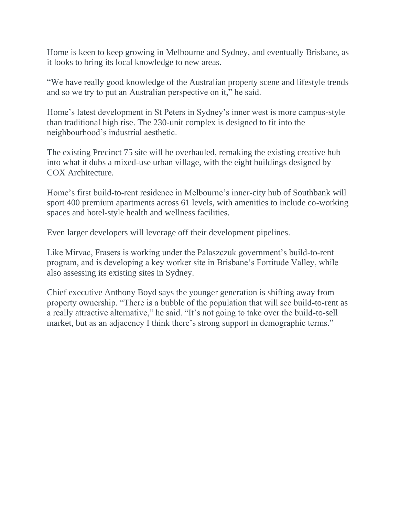Home is keen to keep growing in Melbourne and Sydney, and eventually Brisbane, as it looks to bring its local knowledge to new areas.

"We have really good knowledge of the Australian property scene and lifestyle trends and so we try to put an Australian perspective on it," he said.

Home's latest development in St Peters in Sydney's inner west is more campus-style than traditional high rise. The 230-unit complex is designed to fit into the neighbourhood's industrial aesthetic.

The existing Precinct 75 site will be overhauled, remaking the existing creative hub into what it dubs a mixed-use urban village, with the eight buildings designed by COX Architecture.

Home's first build-to-rent residence in Melbourne's inner-city hub of Southbank will sport 400 premium apartments across 61 levels, with amenities to include co-working spaces and hotel-style health and wellness facilities.

Even larger developers will leverage off their development pipelines.

Like Mirvac, Frasers is working under the Palaszczuk government's build-to-rent program, and is developing a key worker site in Brisbane's Fortitude Valley, while also assessing its existing sites in Sydney.

Chief executive Anthony Boyd says the younger generation is shifting away from property ownership. "There is a bubble of the population that will see build-to-rent as a really attractive alternative," he said. "It's not going to take over the build-to-sell market, but as an adjacency I think there's strong support in demographic terms."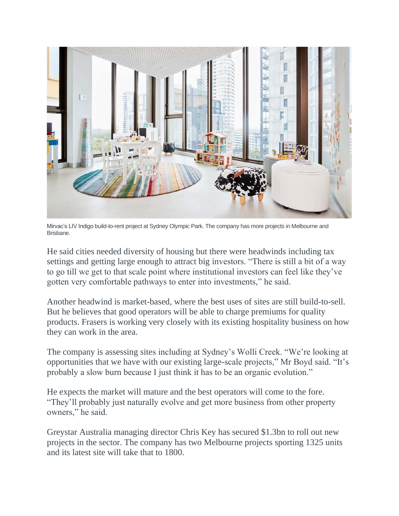

Mirvac's LIV Indigo build-to-rent project at Sydney Olympic Park. The company has more projects in Melbourne and Brisbane.

He said cities needed diversity of housing but there were headwinds including tax settings and getting large enough to attract big investors. "There is still a bit of a way to go till we get to that scale point where institutional investors can feel like they've gotten very comfortable pathways to enter into investments," he said.

Another headwind is market-based, where the best uses of sites are still build-to-sell. But he believes that good operators will be able to charge premiums for quality products. Frasers is working very closely with its existing hospitality business on how they can work in the area.

The company is assessing sites including at Sydney's Wolli Creek. "We're looking at opportunities that we have with our existing large-scale projects," Mr Boyd said. "It's probably a slow burn because I just think it has to be an organic evolution."

He expects the market will mature and the best operators will come to the fore. "They'll probably just naturally evolve and get more business from other property owners," he said.

Greystar Australia managing director Chris Key has secured \$1.3bn to roll out new projects in the sector. The company has two Melbourne projects sporting 1325 units and its latest site will take that to 1800.